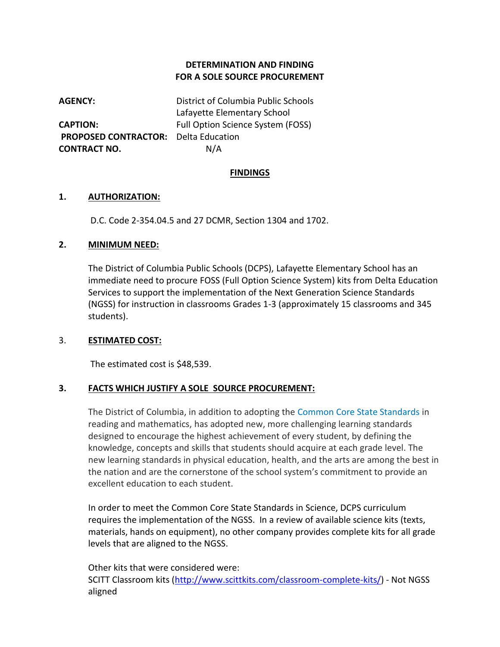### **DETERMINATION AND FINDING FOR A SOLE SOURCE PROCUREMENT**

**AGENCY:** District of Columbia Public Schools Lafayette Elementary School **CAPTION:** Full Option Science System (FOSS) **PROPOSED CONTRACTOR:** Delta Education **CONTRACT NO.** N/A

### **FINDINGS**

#### **1. AUTHORIZATION:**

D.C. Code 2-354.04.5 and 27 DCMR, Section 1304 and 1702.

#### **2. MINIMUM NEED:**

The District of Columbia Public Schools (DCPS), Lafayette Elementary School has an immediate need to procure FOSS (Full Option Science System) kits from Delta Education Services to support the implementation of the Next Generation Science Standards (NGSS) for instruction in classrooms Grades 1-3 (approximately 15 classrooms and 345 students).

### 3. **ESTIMATED COST:**

The estimated cost is \$48,539.

### **3. FACTS WHICH JUSTIFY A SOLE SOURCE PROCUREMENT:**

The District of Columbia, in addition to adopting the [Common Core State Standards](http://osse.dc.gov/service/common-core-state-standards) in reading and mathematics, has adopted new, more challenging learning standards designed to encourage the highest achievement of every student, by defining the knowledge, concepts and skills that students should acquire at each grade level. The new learning standards in physical education, health, and the arts are among the best in the nation and are the cornerstone of the school system's commitment to provide an excellent education to each student.

In order to meet the Common Core State Standards in Science, DCPS curriculum requires the implementation of the NGSS. In a review of available science kits (texts, materials, hands on equipment), no other company provides complete kits for all grade levels that are aligned to the NGSS.

Other kits that were considered were: SCITT Classroom kits [\(http://www.scittkits.com/classroom-complete-kits/\)](http://www.scittkits.com/classroom-complete-kits/) - Not NGSS aligned